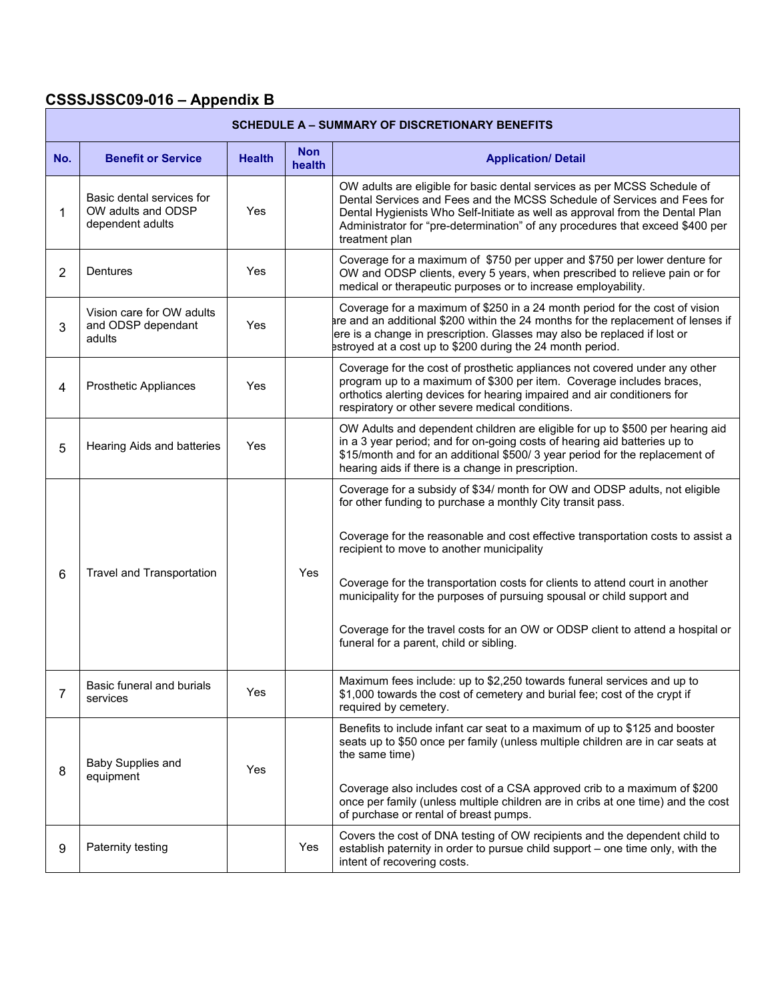## CSSSJSSC09-016 – Appendix B

| <b>SCHEDULE A - SUMMARY OF DISCRETIONARY BENEFITS</b> |                                                                     |               |                      |                                                                                                                                                                                                                                                                                                                                                                                                                                                                                                                                                                 |  |  |  |
|-------------------------------------------------------|---------------------------------------------------------------------|---------------|----------------------|-----------------------------------------------------------------------------------------------------------------------------------------------------------------------------------------------------------------------------------------------------------------------------------------------------------------------------------------------------------------------------------------------------------------------------------------------------------------------------------------------------------------------------------------------------------------|--|--|--|
| No.                                                   | <b>Benefit or Service</b>                                           | <b>Health</b> | <b>Non</b><br>health | <b>Application/ Detail</b>                                                                                                                                                                                                                                                                                                                                                                                                                                                                                                                                      |  |  |  |
| 1                                                     | Basic dental services for<br>OW adults and ODSP<br>dependent adults | Yes           |                      | OW adults are eligible for basic dental services as per MCSS Schedule of<br>Dental Services and Fees and the MCSS Schedule of Services and Fees for<br>Dental Hygienists Who Self-Initiate as well as approval from the Dental Plan<br>Administrator for "pre-determination" of any procedures that exceed \$400 per<br>treatment plan                                                                                                                                                                                                                          |  |  |  |
| $\overline{2}$                                        | Dentures                                                            | Yes           |                      | Coverage for a maximum of \$750 per upper and \$750 per lower denture for<br>OW and ODSP clients, every 5 years, when prescribed to relieve pain or for<br>medical or therapeutic purposes or to increase employability.                                                                                                                                                                                                                                                                                                                                        |  |  |  |
| 3                                                     | Vision care for OW adults<br>and ODSP dependant<br>adults           | Yes           |                      | Coverage for a maximum of \$250 in a 24 month period for the cost of vision<br>are and an additional \$200 within the 24 months for the replacement of lenses if<br>ere is a change in prescription. Glasses may also be replaced if lost or<br>estroyed at a cost up to \$200 during the 24 month period.                                                                                                                                                                                                                                                      |  |  |  |
| 4                                                     | Prosthetic Appliances                                               | Yes           |                      | Coverage for the cost of prosthetic appliances not covered under any other<br>program up to a maximum of \$300 per item. Coverage includes braces,<br>orthotics alerting devices for hearing impaired and air conditioners for<br>respiratory or other severe medical conditions.                                                                                                                                                                                                                                                                               |  |  |  |
| 5                                                     | Hearing Aids and batteries                                          | Yes           |                      | OW Adults and dependent children are eligible for up to \$500 per hearing aid<br>in a 3 year period; and for on-going costs of hearing aid batteries up to<br>\$15/month and for an additional \$500/3 year period for the replacement of<br>hearing aids if there is a change in prescription.                                                                                                                                                                                                                                                                 |  |  |  |
| 6                                                     | Travel and Transportation                                           |               | Yes                  | Coverage for a subsidy of \$34/ month for OW and ODSP adults, not eligible<br>for other funding to purchase a monthly City transit pass.<br>Coverage for the reasonable and cost effective transportation costs to assist a<br>recipient to move to another municipality<br>Coverage for the transportation costs for clients to attend court in another<br>municipality for the purposes of pursuing spousal or child support and<br>Coverage for the travel costs for an OW or ODSP client to attend a hospital or<br>funeral for a parent, child or sibling. |  |  |  |
| 7                                                     | Basic funeral and burials<br>services                               | Yes           |                      | Maximum fees include: up to \$2,250 towards funeral services and up to<br>\$1,000 towards the cost of cemetery and burial fee; cost of the crypt if<br>required by cemetery.                                                                                                                                                                                                                                                                                                                                                                                    |  |  |  |
| 8                                                     | Baby Supplies and<br>equipment                                      | Yes           |                      | Benefits to include infant car seat to a maximum of up to \$125 and booster<br>seats up to \$50 once per family (unless multiple children are in car seats at<br>the same time)<br>Coverage also includes cost of a CSA approved crib to a maximum of \$200<br>once per family (unless multiple children are in cribs at one time) and the cost<br>of purchase or rental of breast pumps.                                                                                                                                                                       |  |  |  |
| 9                                                     | Paternity testing                                                   |               | Yes                  | Covers the cost of DNA testing of OW recipients and the dependent child to<br>establish paternity in order to pursue child support - one time only, with the<br>intent of recovering costs.                                                                                                                                                                                                                                                                                                                                                                     |  |  |  |